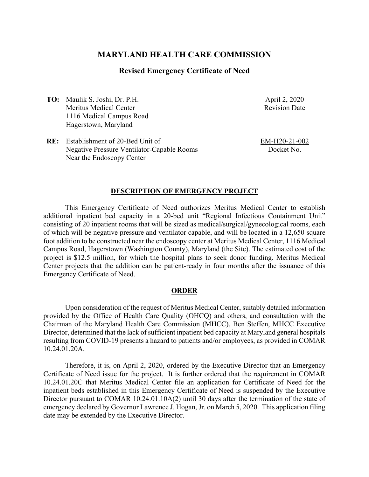# **MARYLAND HEALTH CARE COMMISSION**

### **Revised Emergency Certificate of Need**

**TO:** Maulik S. Joshi, Dr. P.H. Meritus Medical Center 1116 Medical Campus Road Hagerstown, Maryland

April 2, 2020 Revision Date

**RE:** Establishment of 20-Bed Unit of Negative Pressure Ventilator-Capable Rooms Near the Endoscopy Center

EM-H20-21-002 Docket No.

### **DESCRIPTION OF EMERGENCY PROJECT**

This Emergency Certificate of Need authorizes Meritus Medical Center to establish additional inpatient bed capacity in a 20-bed unit "Regional Infectious Containment Unit" consisting of 20 inpatient rooms that will be sized as medical/surgical/gynecological rooms, each of which will be negative pressure and ventilator capable, and will be located in a 12,650 square foot addition to be constructed near the endoscopy center at Meritus Medical Center, 1116 Medical Campus Road, Hagerstown (Washington County), Maryland (the Site). The estimated cost of the project is \$12.5 million, for which the hospital plans to seek donor funding. Meritus Medical Center projects that the addition can be patient-ready in four months after the issuance of this Emergency Certificate of Need.

#### **ORDER**

Upon consideration of the request of Meritus Medical Center, suitably detailed information provided by the Office of Health Care Quality (OHCQ) and others, and consultation with the Chairman of the Maryland Health Care Commission (MHCC), Ben Steffen, MHCC Executive Director, determined that the lack of sufficient inpatient bed capacity at Maryland general hospitals resulting from COVID-19 presents a hazard to patients and/or employees, as provided in COMAR 10.24.01.20A.

Therefore, it is, on April 2, 2020, ordered by the Executive Director that an Emergency Certificate of Need issue for the project. It is further ordered that the requirement in COMAR 10.24.01.20C that Meritus Medical Center file an application for Certificate of Need for the inpatient beds established in this Emergency Certificate of Need is suspended by the Executive Director pursuant to COMAR 10.24.01.10A(2) until 30 days after the termination of the state of emergency declared by Governor Lawrence J. Hogan, Jr. on March 5, 2020. This application filing date may be extended by the Executive Director.